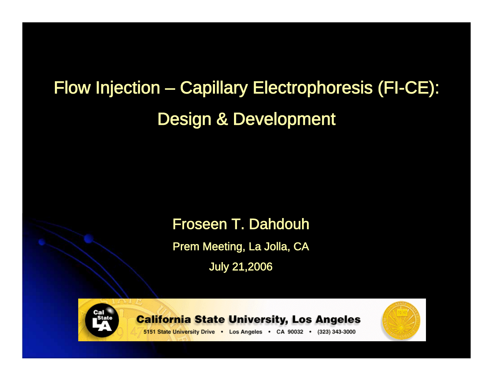## Flow Injection – Capillary Electrophoresis (FI-CE): Design & Development

#### Froseen T. Dahdouh

Prem Meeting, La Jolla, CA

July 21,2006



**California State University, Los Angeles** 



5151 State University Drive . Los Angeles . CA 90032 . (323) 343-3000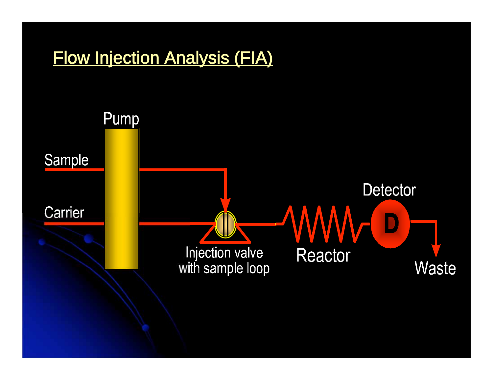# Flow Injection Analysis (FIA)Pump Sample **Detector** Carrier Injection valve **Reactor** Waste with sample loop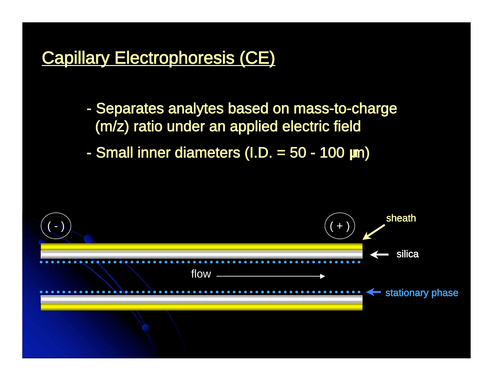#### Capillary Electrophoresis (CE)

- Separates analytes based on mass-to-charge (m/z) ratio under an applied electric field

- Small inner diameters (I.D. = 50 - 100 m)

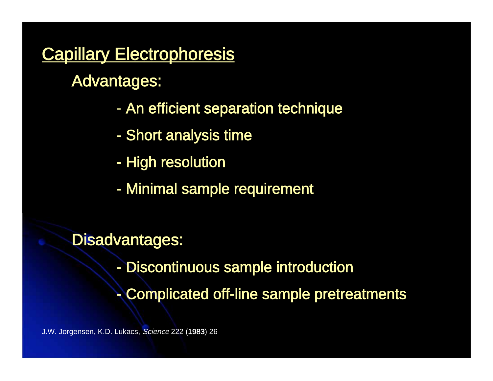#### **Capillary Electrophoresis**

Advantages:

- An efficient separation technique
- Short analysis time
- High resolution
- Minimal sample requirement

#### Disadvantages:

- Discontinuous sample introduction
- Complicated off-line sample pretreatments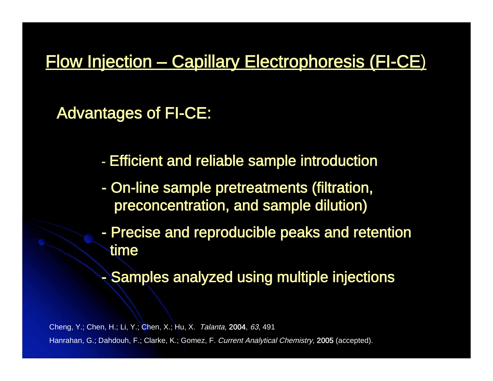#### Flow Injection – Capillary Electrophoresis (FI-CE)

Advantages of FI-CE:

- Efficient and reliable sample introduction
- On-line sample pretreatments (filtration, preconcentration, and sample dilution)
- Precise and reproducible peaks and retention time
- Samples analyzed using multiple injections

Cheng, Y.; Chen, H.; Li, Y.; Chen, X.; Hu, X. Talanta, 2004, 63, 491 Hanrahan, G.; Dahdouh, F.; Clarke, K.; Gomez, F. Current Analytical Chemistry, 2005 (accepted).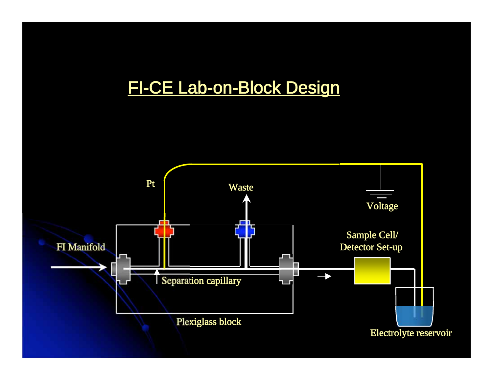#### FI-CE Lab-on-Block Design

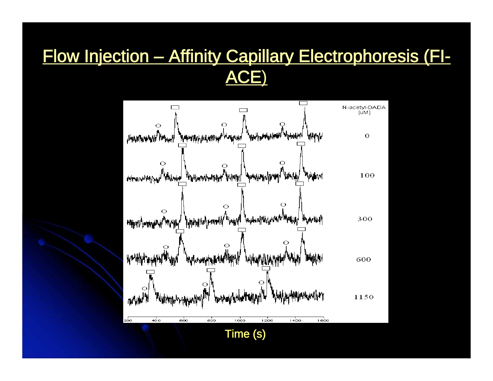### Flow Injection – Affinity Capillary Electrophoresis (FI-ACE)